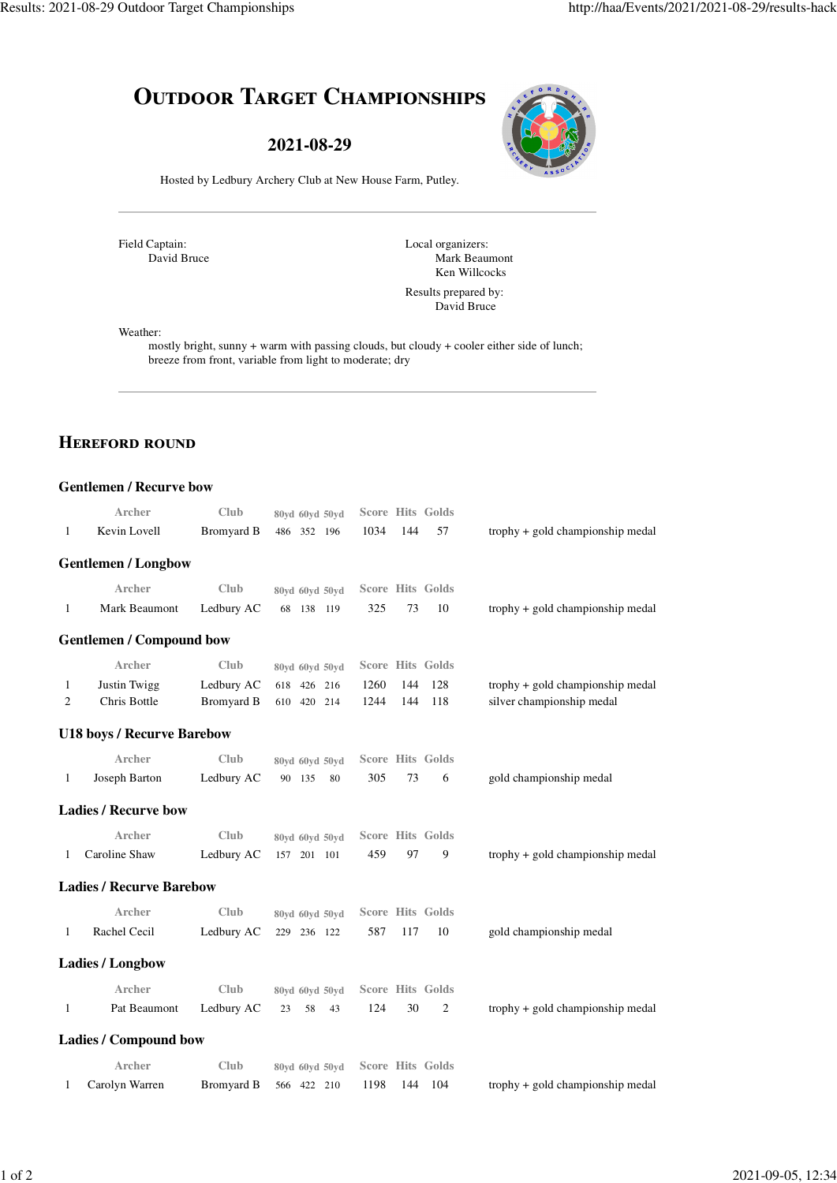# **OUTDOOR TARGET CHAMPIONSHIPS**

**2021-08-29**



Hosted by Ledbury Archery Club at New House Farm, Putley.

Field Captain: David Bruce Local organizers: Mark Beaumont Ken Willcocks

Results prepared by: David Bruce

Weather:

mostly bright, sunny + warm with passing clouds, but cloudy + cooler either side of lunch; breeze from front, variable from light to moderate; dry

### **HEREFORD ROUND**

|   | <b>Gentlemen / Recurve bow</b>    |                   |                |      |     |                         |                                     |
|---|-----------------------------------|-------------------|----------------|------|-----|-------------------------|-------------------------------------|
|   | Archer                            | Club              | 80yd 60yd 50yd |      |     | <b>Score Hits Golds</b> |                                     |
| 1 | Kevin Lovell                      | <b>Bromyard B</b> | 486 352 196    | 1034 | 144 | 57                      | $t$ rophy + gold championship medal |
|   | <b>Gentlemen / Longbow</b>        |                   |                |      |     |                         |                                     |
|   | Archer                            | Club              | 80yd 60yd 50yd |      |     | <b>Score Hits Golds</b> |                                     |
| 1 | Mark Beaumont                     | Ledbury AC        | 68 138 119     | 325  | 73  | 10                      | $t$ rophy + gold championship medal |
|   | <b>Gentlemen / Compound bow</b>   |                   |                |      |     |                         |                                     |
|   | Archer                            | Club              | 80yd 60yd 50yd |      |     | <b>Score Hits Golds</b> |                                     |
| 1 | <b>Justin Twigg</b>               | Ledbury AC        | 618 426<br>216 | 1260 | 144 | 128                     | trophy + gold championship medal    |
| 2 | Chris Bottle                      | <b>Bromyard B</b> | 610 420<br>214 | 1244 | 144 | 118                     | silver championship medal           |
|   | <b>U18 boys / Recurve Barebow</b> |                   |                |      |     |                         |                                     |
|   | Archer                            | Club              | 80yd 60yd 50yd |      |     | Score Hits Golds        |                                     |
| 1 | Joseph Barton                     | Ledbury AC        | 90 135<br>80   | 305  | 73  | 6                       | gold championship medal             |
|   | <b>Ladies / Recurve bow</b>       |                   |                |      |     |                         |                                     |
|   | Archer                            | Club              | 80yd 60yd 50yd |      |     | <b>Score Hits Golds</b> |                                     |
| 1 | Caroline Shaw                     | Ledbury AC        | 157 201 101    | 459  | 97  | 9                       | trophy + gold championship medal    |
|   | <b>Ladies / Recurve Barebow</b>   |                   |                |      |     |                         |                                     |
|   | Archer                            | Club              | 80yd 60yd 50yd |      |     | <b>Score Hits Golds</b> |                                     |
| 1 | Rachel Cecil                      | Ledbury AC        | 229 236 122    | 587  | 117 | 10                      | gold championship medal             |
|   | <b>Ladies / Longbow</b>           |                   |                |      |     |                         |                                     |
|   | Archer                            | Club              | 80yd 60yd 50yd |      |     | <b>Score Hits Golds</b> |                                     |
| 1 | Pat Beaumont                      | Ledbury AC        | 58<br>23<br>43 | 124  | 30  | 2                       | $t$ rophy + gold championship medal |
|   | <b>Ladies / Compound bow</b>      |                   |                |      |     |                         |                                     |
|   | Archer                            | Club              | 80vd 60vd 50vd |      |     | <b>Score Hits Golds</b> |                                     |
| 1 | Carolyn Warren                    | <b>Bromyard B</b> | 566 422 210    | 1198 | 144 | 104                     | trophy + gold championship medal    |